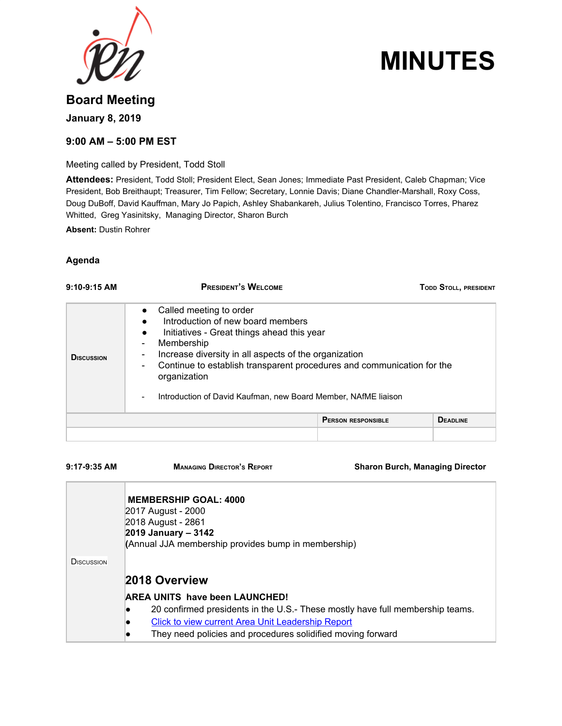

# **MINUTES**

## **Board Meeting January 8, 2019**

### **9:00 AM – 5:00 PM EST**

Meeting called by President, Todd Stoll

**Attendees:** President, Todd Stoll; President Elect, Sean Jones; Immediate Past President, Caleb Chapman; Vice President, Bob Breithaupt; Treasurer, Tim Fellow; Secretary, Lonnie Davis; Diane Chandler-Marshall, Roxy Coss, Doug DuBoff, David Kauffman, Mary Jo Papich, Ashley Shabankareh, Julius Tolentino, Francisco Torres, Pharez Whitted, Greg Yasinitsky, Managing Director, Sharon Burch

**Absent:** Dustin Rohrer

#### **Agenda**

| $9:10-9:15$ AM    | <b>PRESIDENT'S WELCOME</b><br><b>TODD STOLL, PRESIDENT</b>                                                                                                                                                                                                                                                                                                                                                                                                                                      |                                              |  |
|-------------------|-------------------------------------------------------------------------------------------------------------------------------------------------------------------------------------------------------------------------------------------------------------------------------------------------------------------------------------------------------------------------------------------------------------------------------------------------------------------------------------------------|----------------------------------------------|--|
| <b>DISCUSSION</b> | Called meeting to order<br>$\bullet$<br>Introduction of new board members<br>Initiatives - Great things ahead this year<br>$\bullet$<br>Membership<br>$\qquad \qquad \blacksquare$<br>Increase diversity in all aspects of the organization<br>$\overline{\phantom{a}}$<br>Continue to establish transparent procedures and communication for the<br>$\qquad \qquad \blacksquare$<br>organization<br>Introduction of David Kaufman, new Board Member, NAfME liaison<br>$\overline{\phantom{a}}$ |                                              |  |
|                   |                                                                                                                                                                                                                                                                                                                                                                                                                                                                                                 | <b>DEADLINE</b><br><b>PERSON RESPONSIBLE</b> |  |
|                   |                                                                                                                                                                                                                                                                                                                                                                                                                                                                                                 |                                              |  |

**9:17-9:35 AM MANAGING DIRECTOR'S REPORT Sharon Burch, Managing Director**

|                   | <b>MEMBERSHIP GOAL: 4000</b><br>2017 August - 2000<br>2018 August - 2861<br>2019 January – 3142 |
|-------------------|-------------------------------------------------------------------------------------------------|
|                   | (Annual JJA membership provides bump in membership)                                             |
| <b>DISCUSSION</b> |                                                                                                 |
|                   | 2018 Overview                                                                                   |
|                   | <b>AREA UNITS have been LAUNCHED!</b>                                                           |
|                   | 20 confirmed presidents in the U.S.- These mostly have full membership teams.                   |
|                   | Click to view current Area Unit Leadership Report                                               |
|                   | They need policies and procedures solidified moving forward                                     |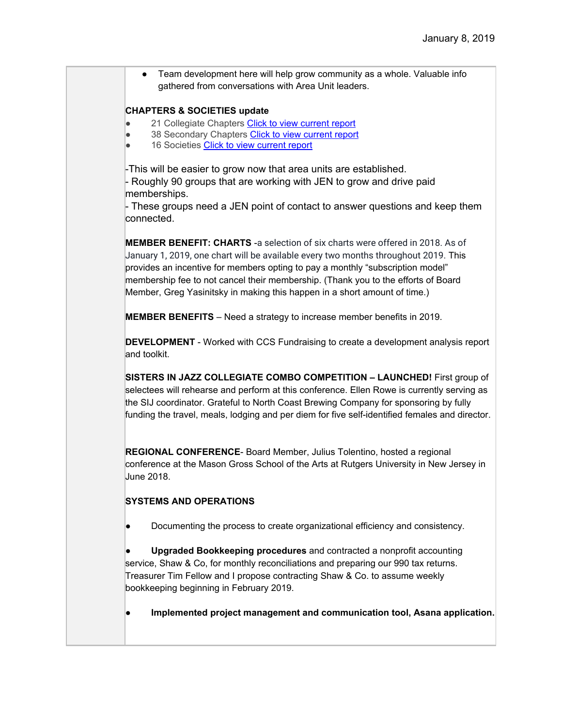• Team development here will help grow community as a whole. Valuable info gathered from conversations with Area Unit leaders.

#### **CHAPTERS & SOCIETIES update**

- 21 Collegiate Chapter[s](https://jazzednet.z2systems.com/np/admin/v2report/validFieldsOneClickResetList.do?searchType=0&configId=300108&viewReport=yes&orgCode=jazzednet&outSideMd5Sum=d04766cc15377cc2868c7d1bd2885eb7) Click to view [current](https://jazzednet.z2systems.com/np/admin/v2report/validFieldsOneClickResetList.do?searchType=0&configId=300108&viewReport=yes&orgCode=jazzednet&outSideMd5Sum=d04766cc15377cc2868c7d1bd2885eb7) report
- 38 Secondary Chapters Click to view [current](https://jazzednet.z2systems.com/np/admin/v2report/validFieldsOneClickResetList.do?searchType=0&configId=300109&viewReport=yes&orgCode=jazzednet&outSideMd5Sum=d04766cc15377cc2868c7d1bd2885eb7) report
- 16 Societie[s](https://jazzednet.z2systems.com/np/admin/v2report/validFieldsOneClickResetList.do?searchType=0&configId=300199&viewReport=yes&orgCode=jazzednet&outSideMd5Sum=d04766cc15377cc2868c7d1bd2885eb7) Click to view [current](https://jazzednet.z2systems.com/np/admin/v2report/validFieldsOneClickResetList.do?searchType=0&configId=300199&viewReport=yes&orgCode=jazzednet&outSideMd5Sum=d04766cc15377cc2868c7d1bd2885eb7) report

-This will be easier to grow now that area units are established. - Roughly 90 groups that are working with JEN to grow and drive paid memberships.

- These groups need a JEN point of contact to answer questions and keep them connected.

**MEMBER BENEFIT: CHARTS** -a selection of six charts were offered in 2018. As of January 1, 2019, one chart will be available every two months throughout 2019. This provides an incentive for members opting to pay a monthly "subscription model" membership fee to not cancel their membership. (Thank you to the efforts of Board Member, Greg Yasinitsky in making this happen in a short amount of time.)

**MEMBER BENEFITS** – Need a strategy to increase member benefits in 2019.

**DEVELOPMENT** - Worked with CCS Fundraising to create a development analysis report and toolkit.

**SISTERS IN JAZZ COLLEGIATE COMBO COMPETITION – LAUNCHED!** First group of selectees will rehearse and perform at this conference. Ellen Rowe is currently serving as the SIJ coordinator. Grateful to North Coast Brewing Company for sponsoring by fully funding the travel, meals, lodging and per diem for five self-identified females and director.

**REGIONAL CONFERENCE**- Board Member, Julius Tolentino, hosted a regional conference at the Mason Gross School of the Arts at Rutgers University in New Jersey in June 2018.

#### **SYSTEMS AND OPERATIONS**

Documenting the process to create organizational efficiency and consistency.

● **Upgraded Bookkeeping procedures** and contracted a nonprofit accounting service, Shaw & Co, for monthly reconciliations and preparing our 990 tax returns. Treasurer Tim Fellow and I propose contracting Shaw & Co. to assume weekly bookkeeping beginning in February 2019.

● **Implemented project management and communication tool, Asana application.**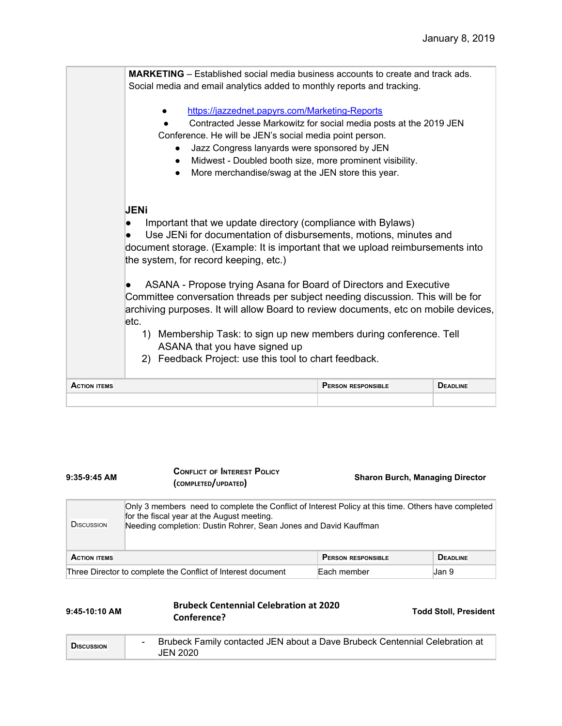|                     | <b>MARKETING</b> – Established social media business accounts to create and track ads.<br>Social media and email analytics added to monthly reports and tracking.                                                                                                                                                                                                         |                           |                 |
|---------------------|---------------------------------------------------------------------------------------------------------------------------------------------------------------------------------------------------------------------------------------------------------------------------------------------------------------------------------------------------------------------------|---------------------------|-----------------|
|                     | https://jazzednet.papyrs.com/Marketing-Reports<br>Contracted Jesse Markowitz for social media posts at the 2019 JEN<br>Conference. He will be JEN's social media point person.<br>Jazz Congress lanyards were sponsored by JEN<br>Midwest - Doubled booth size, more prominent visibility.<br>$\bullet$<br>More merchandise/swag at the JEN store this year.<br>$\bullet$ |                           |                 |
|                     | <b>JENi</b><br>Important that we update directory (compliance with Bylaws)<br>Use JENi for documentation of disbursements, motions, minutes and<br>document storage. (Example: It is important that we upload reimbursements into<br>the system, for record keeping, etc.)                                                                                                |                           |                 |
|                     | ASANA - Propose trying Asana for Board of Directors and Executive<br>Committee conversation threads per subject needing discussion. This will be for<br>archiving purposes. It will allow Board to review documents, etc on mobile devices,<br>letc.                                                                                                                      |                           |                 |
|                     | Membership Task: to sign up new members during conference. Tell<br>$\left( \begin{matrix} 1 \end{matrix} \right)$<br>ASANA that you have signed up<br>2) Feedback Project: use this tool to chart feedback.                                                                                                                                                               |                           |                 |
| <b>ACTION ITEMS</b> |                                                                                                                                                                                                                                                                                                                                                                           | <b>PERSON RESPONSIBLE</b> | <b>DEADLINE</b> |
|                     |                                                                                                                                                                                                                                                                                                                                                                           |                           |                 |

| $9:35-9:45$ AM     | <b>CONFLICT OF INTEREST POLICY</b><br>(COMPLETED/UPDATED)                                                                                                                                                             | <b>Sharon Burch, Managing Director</b> |
|--------------------|-----------------------------------------------------------------------------------------------------------------------------------------------------------------------------------------------------------------------|----------------------------------------|
| <b>D</b> ISCUSSION | Only 3 members need to complete the Conflict of Interest Policy at this time. Others have completed<br>for the fiscal year at the August meeting.<br>Needing completion: Dustin Rohrer, Sean Jones and David Kauffman |                                        |
|                    |                                                                                                                                                                                                                       | $\blacksquare$                         |

| <b>ACTION ITEMS</b>                                          | <b>ERSON RESPONSIBLE</b> | <b>DEADLINE</b> |
|--------------------------------------------------------------|--------------------------|-----------------|
| Three Director to complete the Conflict of Interest document | Each member              | Jan !           |

| $9:45-10:10$ AM   | <b>Brubeck Centennial Celebration at 2020</b><br>Conference?                                   | <b>Todd Stoll, President</b> |
|-------------------|------------------------------------------------------------------------------------------------|------------------------------|
| <b>DISCUSSION</b> | Brubeck Family contacted JEN about a Dave Brubeck Centennial Celebration at<br><b>JEN 2020</b> |                              |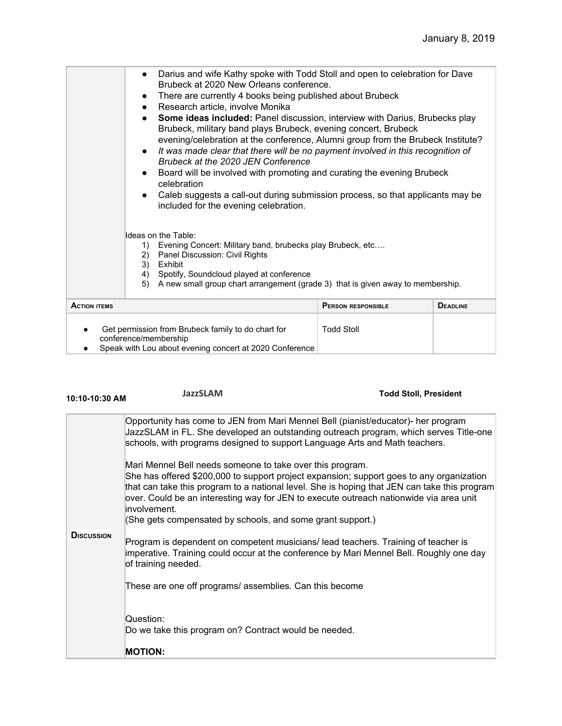| celebration<br>Caleb suggests a call-out during submission process, so that applicants may be<br>$\bullet$<br>included for the evening celebration.<br>Ideas on the Table:<br>Evening Concert: Military band, brubecks play Brubeck, etc<br>1)<br>Panel Discussion: Civil Rights<br>2)<br>3)<br>Exhibit<br>Spotify, Soundcloud played at conference<br>4)<br>A new small group chart arrangement (grade 3) that is given away to membership.<br>5) |  |  |  |
|----------------------------------------------------------------------------------------------------------------------------------------------------------------------------------------------------------------------------------------------------------------------------------------------------------------------------------------------------------------------------------------------------------------------------------------------------|--|--|--|
|                                                                                                                                                                                                                                                                                                                                                                                                                                                    |  |  |  |

● Speak with Lou about evening concert at 2020 Conference

**10:10-10:30 AM JazzSLAM Todd Stoll, President DISCUSSION** Opportunity has come to JEN from Mari Mennel Bell (pianist/educator)- her program JazzSLAM in FL. She developed an outstanding outreach program, which serves Title-one schools, with programs designed to support Language Arts and Math teachers. Mari Mennel Bell needs someone to take over this program. She has offered \$200,000 to support project expansion; support goes to any organization that can take this program to a national level. She is hoping that JEN can take this program over. Could be an interesting way for JEN to execute outreach nationwide via area unit involvement. (She gets compensated by schools, and some grant support.) Program is dependent on competent musicians/ lead teachers. Training of teacher is imperative. Training could occur at the conference by Mari Mennel Bell. Roughly one day of training needed. These are one off programs/ assemblies. Can this become Question: Do we take this program on? Contract would be needed. **MOTION:**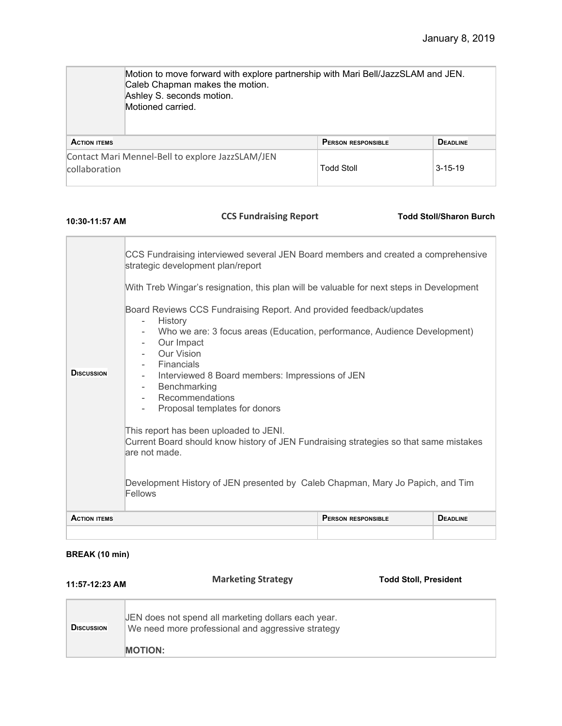|                     | Motion to move forward with explore partnership with Mari Bell/JazzSLAM and JEN.<br>Caleb Chapman makes the motion.<br>Ashley S. seconds motion.<br>Motioned carried. |                           |                 |
|---------------------|-----------------------------------------------------------------------------------------------------------------------------------------------------------------------|---------------------------|-----------------|
| <b>ACTION ITEMS</b> |                                                                                                                                                                       | <b>PERSON RESPONSIBLE</b> | <b>DEADLINE</b> |
| collaboration       | Contact Mari Mennel-Bell to explore JazzSLAM/JEN                                                                                                                      | <b>Todd Stoll</b>         | $3 - 15 - 19$   |

# **10:30-11:57 AM CCS Fundraising Report Todd Stoll/Sharon Burch**

| <b>DISCUSSION</b>   | CCS Fundraising interviewed several JEN Board members and created a comprehensive<br>strategic development plan/report<br>With Treb Wingar's resignation, this plan will be valuable for next steps in Development<br>Board Reviews CCS Fundraising Report. And provided feedback/updates<br>History<br>$\overline{\phantom{a}}$<br>Who we are: 3 focus areas (Education, performance, Audience Development)<br>Our Impact<br>$\overline{\phantom{a}}$<br><b>Our Vision</b><br><b>Financials</b><br>Interviewed 8 Board members: Impressions of JEN<br>Benchmarking<br>$\sim$ $-$<br>Recommendations<br>$\overline{\phantom{0}}$<br>Proposal templates for donors |                           |                 |
|---------------------|-------------------------------------------------------------------------------------------------------------------------------------------------------------------------------------------------------------------------------------------------------------------------------------------------------------------------------------------------------------------------------------------------------------------------------------------------------------------------------------------------------------------------------------------------------------------------------------------------------------------------------------------------------------------|---------------------------|-----------------|
|                     | This report has been uploaded to JENI.<br>Current Board should know history of JEN Fundraising strategies so that same mistakes<br>are not made.<br>Development History of JEN presented by Caleb Chapman, Mary Jo Papich, and Tim<br>Fellows                                                                                                                                                                                                                                                                                                                                                                                                                     |                           |                 |
| <b>ACTION ITEMS</b> |                                                                                                                                                                                                                                                                                                                                                                                                                                                                                                                                                                                                                                                                   | <b>PERSON RESPONSIBLE</b> | <b>DEADLINE</b> |

## **BREAK (10 min)**

| 11:57-12:23 AM    | <b>Marketing Strategy</b>                                                                                                  | <b>Todd Stoll, President</b> |
|-------------------|----------------------------------------------------------------------------------------------------------------------------|------------------------------|
| <b>DISCUSSION</b> | JEN does not spend all marketing dollars each year.<br>We need more professional and aggressive strategy<br><b>MOTION:</b> |                              |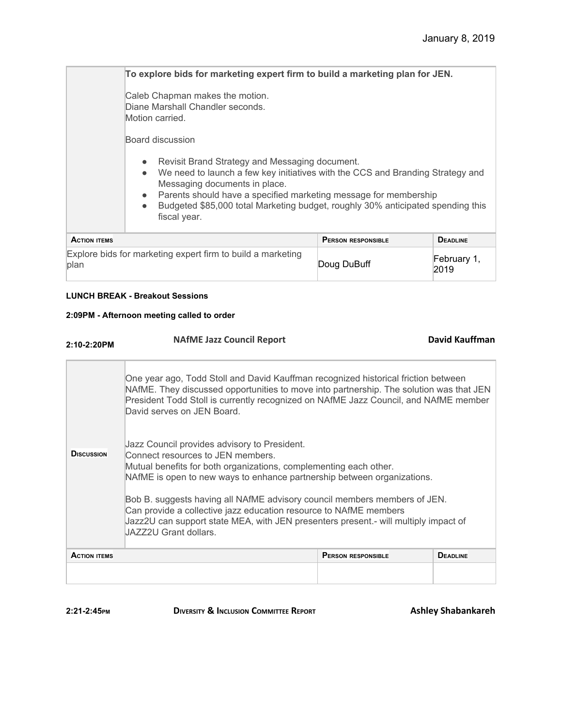|                     | To explore bids for marketing expert firm to build a marketing plan for JEN.                                                                                                                                                                                                                                                                                                                 |                           |                 |
|---------------------|----------------------------------------------------------------------------------------------------------------------------------------------------------------------------------------------------------------------------------------------------------------------------------------------------------------------------------------------------------------------------------------------|---------------------------|-----------------|
|                     | Caleb Chapman makes the motion.<br>Diane Marshall Chandler seconds.<br>Motion carried.                                                                                                                                                                                                                                                                                                       |                           |                 |
|                     | Board discussion                                                                                                                                                                                                                                                                                                                                                                             |                           |                 |
|                     | Revisit Brand Strategy and Messaging document.<br>$\bullet$<br>We need to launch a few key initiatives with the CCS and Branding Strategy and<br>$\bullet$<br>Messaging documents in place.<br>Parents should have a specified marketing message for membership<br>$\bullet$<br>Budgeted \$85,000 total Marketing budget, roughly 30% anticipated spending this<br>$\bullet$<br>fiscal year. |                           |                 |
| <b>ACTION ITEMS</b> |                                                                                                                                                                                                                                                                                                                                                                                              | <b>PERSON RESPONSIBLE</b> | <b>DEADLINE</b> |

| <b>ACTION ITEMS</b>                                                 | <b>PERSON RESPONSIBLE</b> | <b>DEADLINE</b>     |
|---------------------------------------------------------------------|---------------------------|---------------------|
| Explore bids for marketing expert firm to build a marketing<br>plan | Doug DuBuff               | February 1.<br>2019 |

#### **LUNCH BREAK - Breakout Sessions**

#### **2:09PM - Afternoon meeting called to order**

| $2:10-2:20PM$       | <b>NAfME Jazz Council Report</b>                                                                                                                                                                                                                                                                    |                           | David Kauffman  |  |
|---------------------|-----------------------------------------------------------------------------------------------------------------------------------------------------------------------------------------------------------------------------------------------------------------------------------------------------|---------------------------|-----------------|--|
|                     | One year ago, Todd Stoll and David Kauffman recognized historical friction between<br>NAfME. They discussed opportunities to move into partnership. The solution was that JEN<br>President Todd Stoll is currently recognized on NAfME Jazz Council, and NAfME member<br>David serves on JEN Board. |                           |                 |  |
| <b>D</b> iscussion  | Jazz Council provides advisory to President.<br>Connect resources to JEN members.<br>Mutual benefits for both organizations, complementing each other.<br>NAfME is open to new ways to enhance partnership between organizations.                                                                   |                           |                 |  |
|                     | Bob B. suggests having all NAfME advisory council members members of JEN.<br>Can provide a collective jazz education resource to NAfME members<br>Jazz2U can support state MEA, with JEN presenters present.- will multiply impact of<br>JAZZ2U Grant dollars.                                      |                           |                 |  |
| <b>ACTION ITEMS</b> |                                                                                                                                                                                                                                                                                                     | <b>PERSON RESPONSIBLE</b> | <b>DEADLINE</b> |  |
|                     |                                                                                                                                                                                                                                                                                                     |                           |                 |  |

**2:21-2:45PM DIVERSITY & INCLUSION COMMITTEE REPORT Ashley Shabankareh**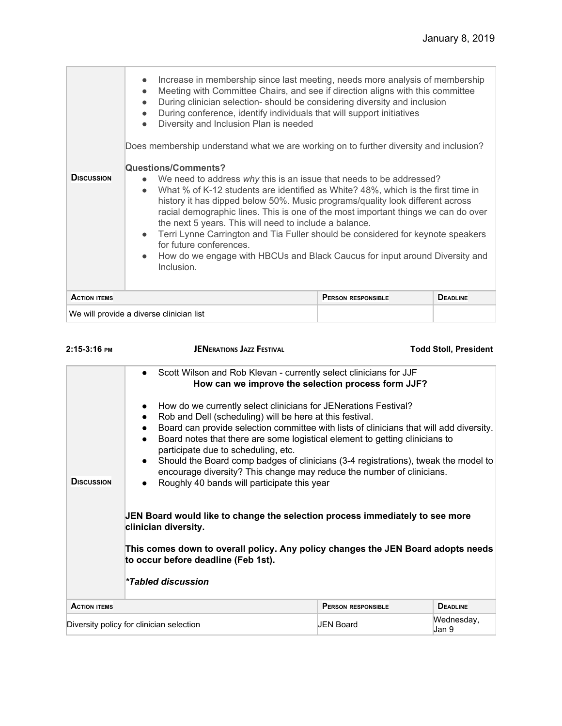| Increase in membership since last meeting, needs more analysis of membership<br>$\bullet$<br>Meeting with Committee Chairs, and see if direction aligns with this committee<br>$\bullet$<br>During clinician selection-should be considering diversity and inclusion<br>$\bullet$<br>During conference, identify individuals that will support initiatives<br>$\bullet$<br>Diversity and Inclusion Plan is needed<br>$\bullet$<br>Does membership understand what we are working on to further diversity and inclusion?<br><b>Questions/Comments?</b><br><b>DISCUSSION</b><br>We need to address why this is an issue that needs to be addressed?<br>What % of K-12 students are identified as White? 48%, which is the first time in<br>$\bullet$<br>history it has dipped below 50%. Music programs/quality look different across<br>racial demographic lines. This is one of the most important things we can do over<br>the next 5 years. This will need to include a balance.<br>Terri Lynne Carrington and Tia Fuller should be considered for keynote speakers<br>$\bullet$<br>for future conferences.<br>How do we engage with HBCUs and Black Caucus for input around Diversity and<br>$\bullet$<br>Inclusion. |                 |
|-------------------------------------------------------------------------------------------------------------------------------------------------------------------------------------------------------------------------------------------------------------------------------------------------------------------------------------------------------------------------------------------------------------------------------------------------------------------------------------------------------------------------------------------------------------------------------------------------------------------------------------------------------------------------------------------------------------------------------------------------------------------------------------------------------------------------------------------------------------------------------------------------------------------------------------------------------------------------------------------------------------------------------------------------------------------------------------------------------------------------------------------------------------------------------------------------------------------------|-----------------|
| <b>ACTION ITEMS</b><br><b>PERSON RESPONSIBLE</b><br>We will provide a diverse clinician list                                                                                                                                                                                                                                                                                                                                                                                                                                                                                                                                                                                                                                                                                                                                                                                                                                                                                                                                                                                                                                                                                                                            | <b>DEADLINE</b> |

| 2:15-3:16 PM        | <b>JENERATIONS JAZZ FESTIVAL</b>                                                                                                                                                                                                                                                                                                                                                                                                                                                                                                                                                                                                                                                        |                           | <b>Todd Stoll, President</b> |
|---------------------|-----------------------------------------------------------------------------------------------------------------------------------------------------------------------------------------------------------------------------------------------------------------------------------------------------------------------------------------------------------------------------------------------------------------------------------------------------------------------------------------------------------------------------------------------------------------------------------------------------------------------------------------------------------------------------------------|---------------------------|------------------------------|
|                     | • Scott Wilson and Rob Klevan - currently select clinicians for JJF<br>How can we improve the selection process form JJF?<br>How do we currently select clinicians for JENerations Festival?<br>Rob and Dell (scheduling) will be here at this festival.<br>Board can provide selection committee with lists of clinicians that will add diversity.<br>Board notes that there are some logistical element to getting clinicians to<br>participate due to scheduling, etc.<br>Should the Board comp badges of clinicians (3-4 registrations), tweak the model to<br>encourage diversity? This change may reduce the number of clinicians.<br>Roughly 40 bands will participate this year |                           |                              |
| <b>DISCUSSION</b>   |                                                                                                                                                                                                                                                                                                                                                                                                                                                                                                                                                                                                                                                                                         |                           |                              |
|                     | JEN Board would like to change the selection process immediately to see more<br>clinician diversity.<br>This comes down to overall policy. Any policy changes the JEN Board adopts needs<br>to occur before deadline (Feb 1st).<br><i>*Tabled discussion</i>                                                                                                                                                                                                                                                                                                                                                                                                                            |                           |                              |
| <b>ACTION ITEMS</b> |                                                                                                                                                                                                                                                                                                                                                                                                                                                                                                                                                                                                                                                                                         | <b>PERSON RESPONSIBLE</b> | <b>DEADLINE</b>              |
|                     | Diversity policy for clinician selection                                                                                                                                                                                                                                                                                                                                                                                                                                                                                                                                                                                                                                                | <b>JEN Board</b>          | Wednesday,<br>Jan 9          |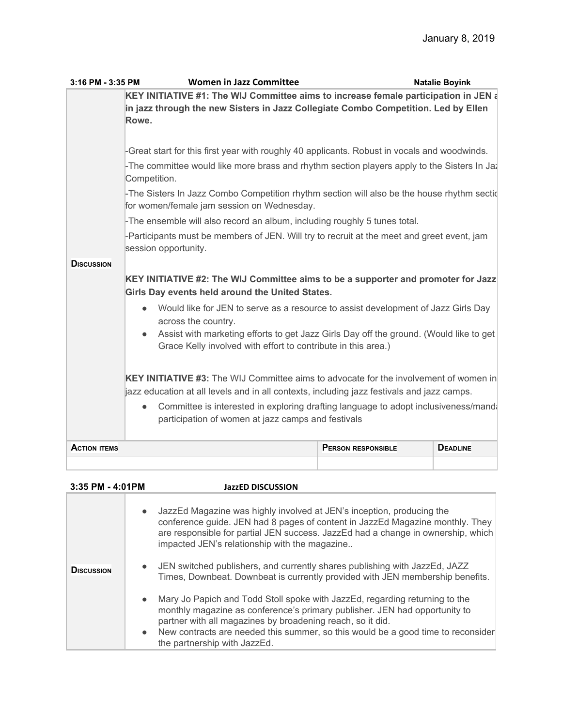| 3:16 PM - 3:35 PM   | <b>Women in Jazz Committee</b>                                                                                                                                                             |                           | <b>Natalie Boyink</b> |  |
|---------------------|--------------------------------------------------------------------------------------------------------------------------------------------------------------------------------------------|---------------------------|-----------------------|--|
|                     | KEY INITIATIVE #1: The WIJ Committee aims to increase female participation in JEN a<br>in jazz through the new Sisters in Jazz Collegiate Combo Competition. Led by Ellen<br>Rowe.         |                           |                       |  |
|                     | -Great start for this first year with roughly 40 applicants. Robust in vocals and woodwinds.                                                                                               |                           |                       |  |
|                     | -The committee would like more brass and rhythm section players apply to the Sisters In Ja-<br>Competition.                                                                                |                           |                       |  |
|                     | -The Sisters In Jazz Combo Competition rhythm section will also be the house rhythm section<br>for women/female jam session on Wednesday.                                                  |                           |                       |  |
|                     | -The ensemble will also record an album, including roughly 5 tunes total.                                                                                                                  |                           |                       |  |
|                     | -Participants must be members of JEN. Will try to recruit at the meet and greet event, jam<br>session opportunity.                                                                         |                           |                       |  |
| <b>DISCUSSION</b>   |                                                                                                                                                                                            |                           |                       |  |
|                     | KEY INITIATIVE #2: The WIJ Committee aims to be a supporter and promoter for Jazz                                                                                                          |                           |                       |  |
|                     | Girls Day events held around the United States.                                                                                                                                            |                           |                       |  |
|                     | Would like for JEN to serve as a resource to assist development of Jazz Girls Day<br>$\bullet$<br>across the country.                                                                      |                           |                       |  |
|                     | Assist with marketing efforts to get Jazz Girls Day off the ground. (Would like to get<br>Grace Kelly involved with effort to contribute in this area.)                                    |                           |                       |  |
|                     | <b>KEY INITIATIVE #3:</b> The WIJ Committee aims to advocate for the involvement of women in<br>jazz education at all levels and in all contexts, including jazz festivals and jazz camps. |                           |                       |  |
|                     | Committee is interested in exploring drafting language to adopt inclusiveness/mand<br>$\bullet$<br>participation of women at jazz camps and festivals                                      |                           |                       |  |
| <b>ACTION ITEMS</b> |                                                                                                                                                                                            | <b>PERSON RESPONSIBLE</b> | <b>DEADLINE</b>       |  |
|                     |                                                                                                                                                                                            |                           |                       |  |

| 3:35 PM - 4:01PM  |           | <b>JazzED DISCUSSION</b>                                                                                                                                                                                                                                                                                                                        |
|-------------------|-----------|-------------------------------------------------------------------------------------------------------------------------------------------------------------------------------------------------------------------------------------------------------------------------------------------------------------------------------------------------|
|                   | $\bullet$ | JazzEd Magazine was highly involved at JEN's inception, producing the<br>conference guide. JEN had 8 pages of content in JazzEd Magazine monthly. They<br>are responsible for partial JEN success. JazzEd had a change in ownership, which<br>impacted JEN's relationship with the magazine                                                     |
| <b>DISCUSSION</b> | $\bullet$ | JEN switched publishers, and currently shares publishing with JazzEd, JAZZ<br>Times, Downbeat. Downbeat is currently provided with JEN membership benefits.                                                                                                                                                                                     |
|                   |           | • Mary Jo Papich and Todd Stoll spoke with JazzEd, regarding returning to the<br>monthly magazine as conference's primary publisher. JEN had opportunity to<br>partner with all magazines by broadening reach, so it did.<br>• New contracts are needed this summer, so this would be a good time to reconsider<br>the partnership with JazzEd. |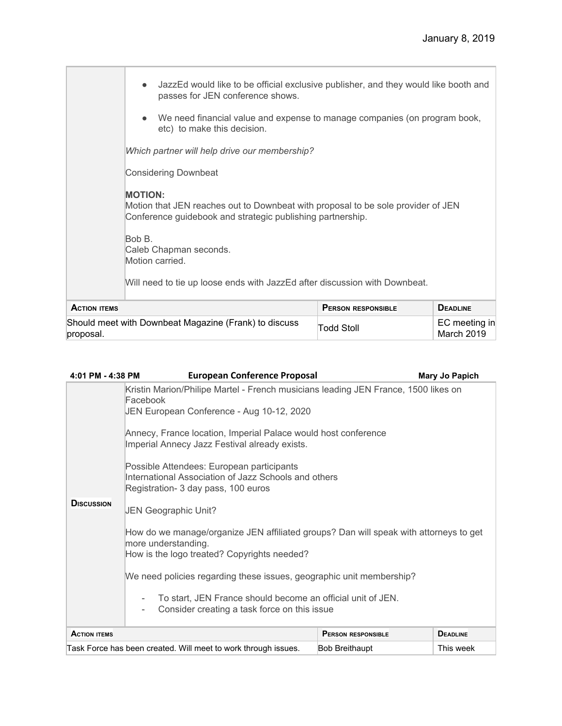|                                                                    | JazzEd would like to be official exclusive publisher, and they would like booth and<br>passes for JEN conference shows.<br>We need financial value and expense to manage companies (on program book,<br>etc) to make this decision.<br>Which partner will help drive our membership?<br><b>Considering Downbeat</b><br><b>MOTION:</b><br>Motion that JEN reaches out to Downbeat with proposal to be sole provider of JEN<br>Conference guidebook and strategic publishing partnership.<br>Bob B.<br>Caleb Chapman seconds.<br>Motion carried. |                           |                             |
|--------------------------------------------------------------------|------------------------------------------------------------------------------------------------------------------------------------------------------------------------------------------------------------------------------------------------------------------------------------------------------------------------------------------------------------------------------------------------------------------------------------------------------------------------------------------------------------------------------------------------|---------------------------|-----------------------------|
|                                                                    | Will need to tie up loose ends with JazzEd after discussion with Downbeat.                                                                                                                                                                                                                                                                                                                                                                                                                                                                     |                           |                             |
| <b>ACTION ITEMS</b>                                                |                                                                                                                                                                                                                                                                                                                                                                                                                                                                                                                                                | <b>PERSON RESPONSIBLE</b> | <b>DEADLINE</b>             |
| Should meet with Downbeat Magazine (Frank) to discuss<br>proposal. |                                                                                                                                                                                                                                                                                                                                                                                                                                                                                                                                                | Todd Stoll                | EC meeting in<br>March 2019 |

| 4:01 PM - 4:38 PM   | <b>European Conference Proposal</b>                                                                                                                                                                                                                                                                                                                                                                                                                                                                                                                                                                                                                                                                                                                                                      |                           | <b>Mary Jo Papich</b> |
|---------------------|------------------------------------------------------------------------------------------------------------------------------------------------------------------------------------------------------------------------------------------------------------------------------------------------------------------------------------------------------------------------------------------------------------------------------------------------------------------------------------------------------------------------------------------------------------------------------------------------------------------------------------------------------------------------------------------------------------------------------------------------------------------------------------------|---------------------------|-----------------------|
| <b>DISCUSSION</b>   | Kristin Marion/Philipe Martel - French musicians leading JEN France, 1500 likes on<br>Facebook<br>JEN European Conference - Aug 10-12, 2020<br>Annecy, France location, Imperial Palace would host conference<br>Imperial Annecy Jazz Festival already exists.<br>Possible Attendees: European participants<br>International Association of Jazz Schools and others<br>Registration- 3 day pass, 100 euros<br>JEN Geographic Unit?<br>How do we manage/organize JEN affiliated groups? Dan will speak with attorneys to get<br>more understanding.<br>How is the logo treated? Copyrights needed?<br>We need policies regarding these issues, geographic unit membership?<br>To start, JEN France should become an official unit of JEN.<br>Consider creating a task force on this issue |                           |                       |
| <b>ACTION ITEMS</b> |                                                                                                                                                                                                                                                                                                                                                                                                                                                                                                                                                                                                                                                                                                                                                                                          | <b>PERSON RESPONSIBLE</b> | <b>DEADLINE</b>       |
|                     | Task Force has been created. Will meet to work through issues.                                                                                                                                                                                                                                                                                                                                                                                                                                                                                                                                                                                                                                                                                                                           | <b>Bob Breithaupt</b>     | This week             |
|                     |                                                                                                                                                                                                                                                                                                                                                                                                                                                                                                                                                                                                                                                                                                                                                                                          |                           |                       |